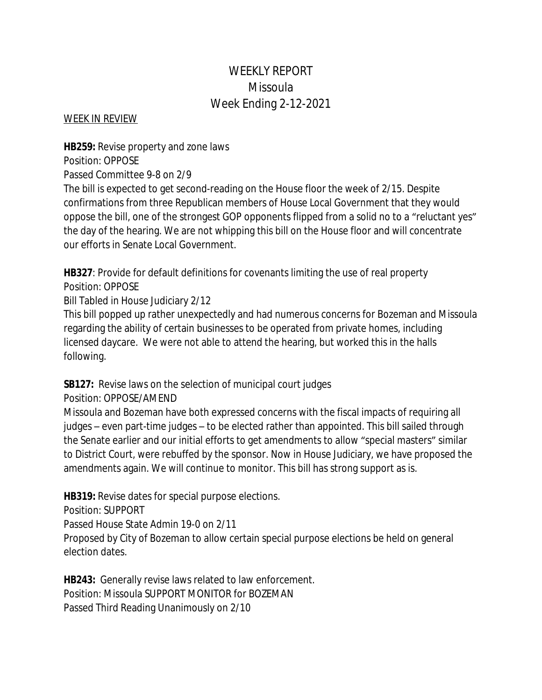# WEEKLY REPORT Missoula Week Ending 2-12-2021

#### WEEK IN REVIEW

**HB259:** Revise property and zone laws Position: OPPOSE

Passed Committee 9-8 on 2/9

The bill is expected to get second-reading on the House floor the week of 2/15. Despite confirmations from three Republican members of House Local Government that they would oppose the bill, one of the strongest GOP opponents flipped from a solid no to a "reluctant yes" the day of the hearing. We are not whipping this bill on the House floor and will concentrate our efforts in Senate Local Government.

**HB327**: Provide for default definitions for covenants limiting the use of real property Position: OPPOSE

Bill Tabled in House Judiciary 2/12

This bill popped up rather unexpectedly and had numerous concerns for Bozeman and Missoula regarding the ability of certain businesses to be operated from private homes, including licensed daycare. We were not able to attend the hearing, but worked this in the halls following.

# **SB127:** Revise laws on the selection of municipal court judges

Position: OPPOSE/AMEND

Missoula and Bozeman have both expressed concerns with the fiscal impacts of requiring all judges – even part-time judges – to be elected rather than appointed. This bill sailed through the Senate earlier and our initial efforts to get amendments to allow "special masters" similar to District Court, were rebuffed by the sponsor. Now in House Judiciary, we have proposed the amendments again. We will continue to monitor. This bill has strong support as is.

**HB319:** Revise dates for special purpose elections.

Position: SUPPORT

Passed House State Admin 19-0 on 2/11

Proposed by City of Bozeman to allow certain special purpose elections be held on general election dates.

**HB243:** Generally revise laws related to law enforcement. Position: Missoula SUPPORT MONITOR for BOZEMAN Passed Third Reading Unanimously on 2/10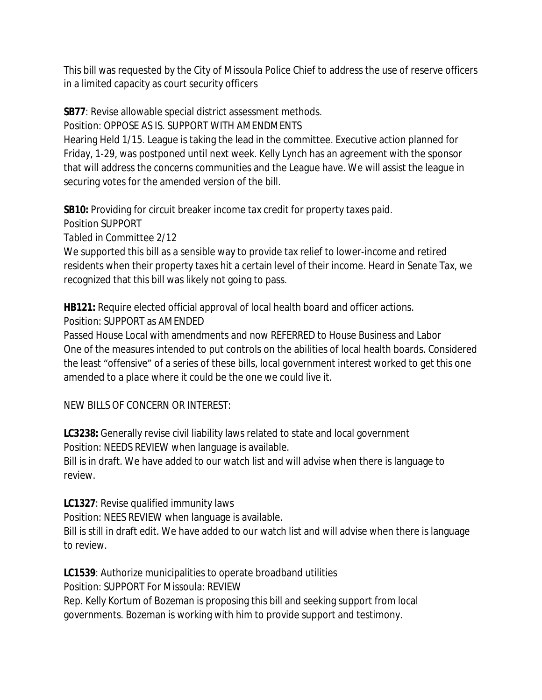This bill was requested by the City of Missoula Police Chief to address the use of reserve officers in a limited capacity as court security officers

**SB77**: Revise allowable special district assessment methods.

Position: OPPOSE AS IS. SUPPORT WITH AMENDMENTS

Hearing Held 1/15. League is taking the lead in the committee. Executive action planned for Friday, 1-29, was postponed until next week. Kelly Lynch has an agreement with the sponsor that will address the concerns communities and the League have. We will assist the league in securing votes for the amended version of the bill.

**SB10:** Providing for circuit breaker income tax credit for property taxes paid.

Position SUPPORT

Tabled in Committee 2/12

We supported this bill as a sensible way to provide tax relief to lower-income and retired residents when their property taxes hit a certain level of their income. Heard in Senate Tax, we recognized that this bill was likely not going to pass.

**HB121:** Require elected official approval of local health board and officer actions. Position: SUPPORT as AMENDED

Passed House Local with amendments and now REFERRED to House Business and Labor One of the measures intended to put controls on the abilities of local health boards. Considered the least "offensive" of a series of these bills, local government interest worked to get this one amended to a place where it could be the one we could live it.

# NEW BILLS OF CONCERN OR INTEREST:

**LC3238:** Generally revise civil liability laws related to state and local government Position: NEEDS REVIEW when language is available.

Bill is in draft. We have added to our watch list and will advise when there is language to review.

**LC1327**: Revise qualified immunity laws

Position: NEES REVIEW when language is available.

Bill is still in draft edit. We have added to our watch list and will advise when there is language to review.

**LC1539**: Authorize municipalities to operate broadband utilities Position: SUPPORT For Missoula: REVIEW Rep. Kelly Kortum of Bozeman is proposing this bill and seeking support from local governments. Bozeman is working with him to provide support and testimony.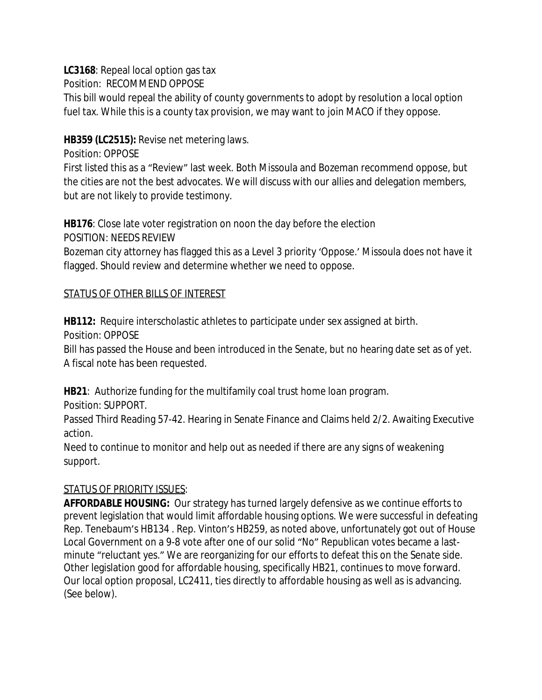**LC3168**: Repeal local option gas tax

Position: RECOMMEND OPPOSE

This bill would repeal the ability of county governments to adopt by resolution a local option fuel tax. While this is a county tax provision, we may want to join MACO if they oppose.

#### **HB359 (LC2515):** Revise net metering laws.

Position: OPPOSE

First listed this as a "Review" last week. Both Missoula and Bozeman recommend oppose, but the cities are not the best advocates. We will discuss with our allies and delegation members, but are not likely to provide testimony.

**HB176**: Close late voter registration on noon the day before the election POSITION: NEEDS REVIEW

Bozeman city attorney has flagged this as a Level 3 priority 'Oppose.' Missoula does not have it flagged. Should review and determine whether we need to oppose.

#### STATUS OF OTHER BILLS OF INTEREST

**HB112:** Require interscholastic athletes to participate under sex assigned at birth. Position: OPPOSE

Bill has passed the House and been introduced in the Senate, but no hearing date set as of yet. A fiscal note has been requested.

**HB21**: Authorize funding for the multifamily coal trust home loan program.

Position: SUPPORT.

Passed Third Reading 57-42. Hearing in Senate Finance and Claims held 2/2. Awaiting Executive action.

Need to continue to monitor and help out as needed if there are any signs of weakening support.

# STATUS OF PRIORITY ISSUES:

**AFFORDABLE HOUSING:** Our strategy has turned largely defensive as we continue efforts to prevent legislation that would limit affordable housing options. We were successful in defeating Rep. Tenebaum's HB134 . Rep. Vinton's HB259, as noted above, unfortunately got out of House Local Government on a 9-8 vote after one of our solid "No" Republican votes became a lastminute "reluctant yes." We are reorganizing for our efforts to defeat this on the Senate side. Other legislation good for affordable housing, specifically HB21, continues to move forward. Our local option proposal, LC2411, ties directly to affordable housing as well as is advancing. (See below).